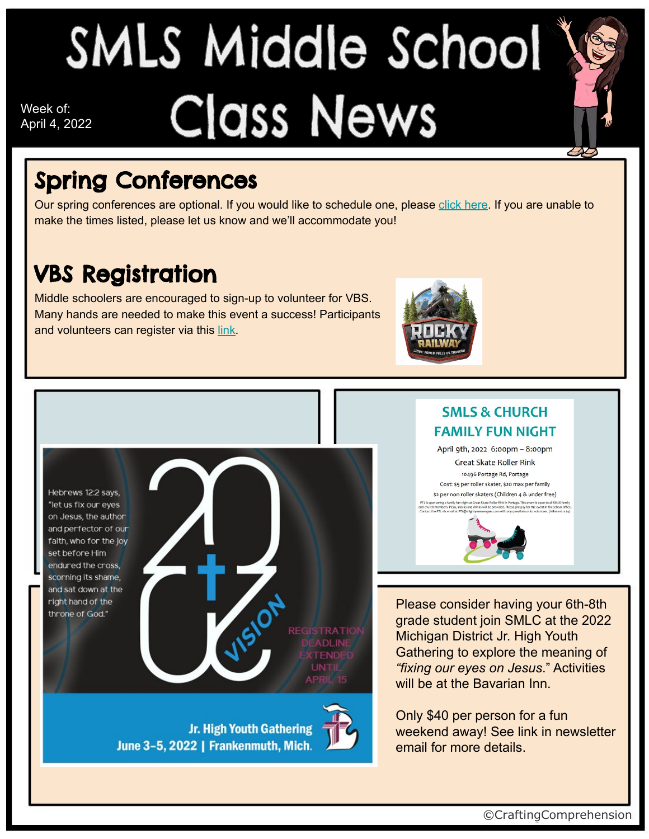## SMLS Middle School Class News Week of: April 4, 2022



### Spring Conferences

Our spring conferences are optional. If you would like to schedule one, please [click here](https://www.signupgenius.com/go/8050449AFA62CAAFF2-6thand1). If you are unable to make the times listed, please let us know and we'll accommodate you!

#### VBS Registration

Middle schoolers are encouraged to sign-up to volunteer for VBS. Many hands are needed to make this event a success! Participants and volunteers can register via this [link](https://vbspro.events/p/events/d76fce).